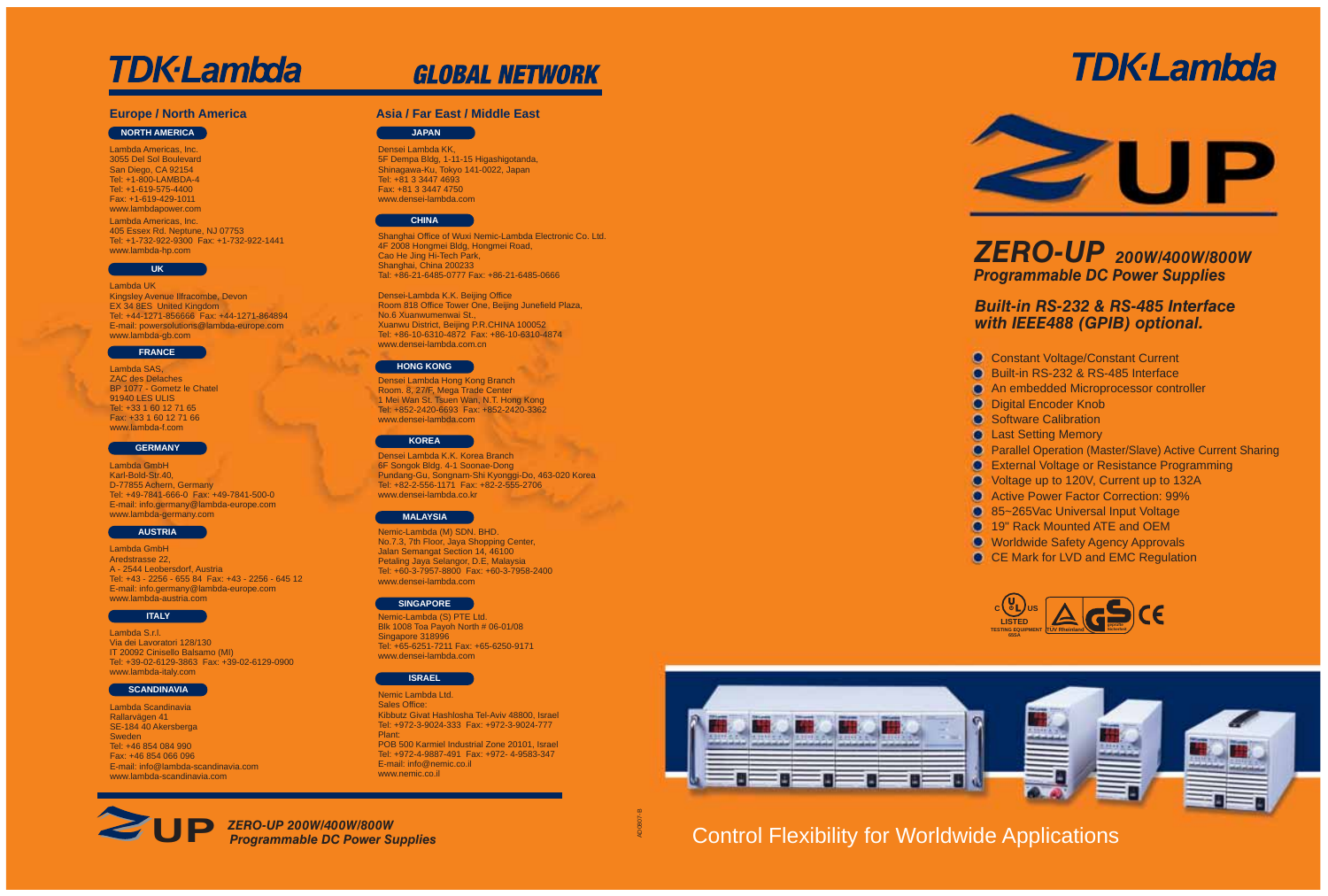# **TDK-Lambda**



## *200W/400W/800W ZERO-UP Programmable DC Power Supplies*

### *Built-in RS-232 & RS-485 Interface with IEEE488 (GPIB) optional.*

- **Constant Voltage/Constant Current**
- **Built-in RS-232 & RS-485 Interface**
- **An embedded Microprocessor controller**
- **O** Digital Encoder Knob
- **Software Calibration**
- **e** Last Setting Memory
- Parallel Operation (Master/Slave) Active Current Sharing
- **External Voltage or Resistance Programming**
- Voltage up to 120V, Current up to 132A
- **Active Power Factor Correction: 99%**
- **85~265Vac Universal Input Voltage**
- **19" Rack Mounted ATE and OEM**
- **C** Worldwide Safety Agency Approvals
- CE Mark for LVD and EMC Regulation





## Control Flexibility for Worldwide Applications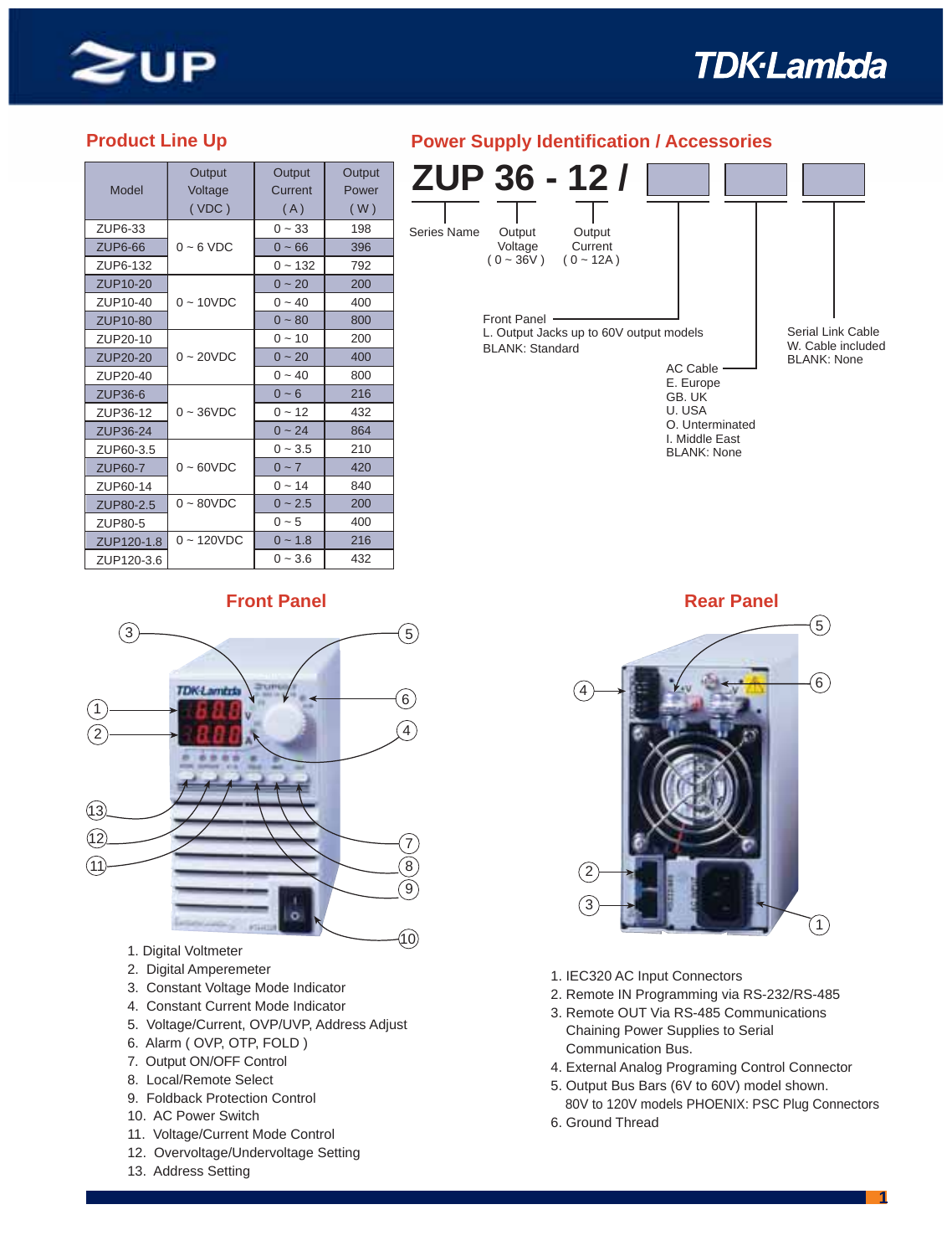

# **TDK-Lambda**

|                 | Output       | Output       | Output |
|-----------------|--------------|--------------|--------|
| Model           | Voltage      | Current      | Power  |
|                 | (VDC)        | (A)          | (W)    |
| ZUP6-33         |              | $0 - 33$     | 198    |
| <b>ZUP6-66</b>  | $0 - 6$ VDC  | $0 - 66$     | 396    |
| ZUP6-132        |              | $0 - 132$    | 792    |
| ZUP10-20        |              | $0 \sim 20$  | 200    |
| ZUP10-40        | $0 - 10VDC$  | $0 - 40$     | 400    |
| ZUP10-80        |              | $0 - 80$     | 800    |
| ZUP20-10        |              | $0 - 10$     | 200    |
| ZUP20-20        | $0 - 20VDC$  | $0 - 20$     | 400    |
| ZUP20-40        |              | $0 - 40$     | 800    |
| <b>ZUP36-6</b>  |              | $0 - 6$      | 216    |
| ZUP36-12        | $0 - 36$ VDC | $0 - 12$     | 432    |
| <b>ZUP36-24</b> |              | $0 - 24$     | 864    |
| ZUP60-3.5       |              | $0 - 3.5$    | 210    |
| <b>ZUP60-7</b>  | $0 - 60VDC$  | $0 - 7$      | 420    |
| ZUP60-14        |              | $0 - 14$     | 840    |
| ZUP80-2.5       | $0 - 80VDC$  | $0 \sim 2.5$ | 200    |
| ZUP80-5         |              | $0 - 5$      | 400    |
| ZUP120-1.8      | $0 - 120VDC$ | $0 - 1.8$    | 216    |
| ZUP120-3.6      |              | $0 - 3.6$    | 432    |

#### **Product Line Up Power Supply Identification / Accessories**





- 1. Digital Voltmeter
- 2. Digital Amperemeter
- 3. Constant Voltage Mode Indicator
- 4. Constant Current Mode Indicator
- 5. Voltage/Current, OVP/UVP, Address Adjust
- 6. Alarm ( OVP, OTP, FOLD )
- 7. Output ON/OFF Control
- 8. Local/Remote Select
- 9. Foldback Protection Control
- 10. AC Power Switch
- 11. Voltage/Current Mode Control
- 12. Overvoltage/Undervoltage Setting
- 13. Address Setting



- 1. IEC320 AC Input Connectors
- 2. Remote IN Programming via RS-232/RS-485
- 3. Remote OUT Via RS-485 Communications Chaining Power Supplies to Serial
- Communication Bus.
- 4. External Analog Programing Control Connector
- 5. Output Bus Bars (6V to 60V) model shown.
- 80V to 120V models PHOENIX: PSC Plug Connectors 6. Ground Thread
	-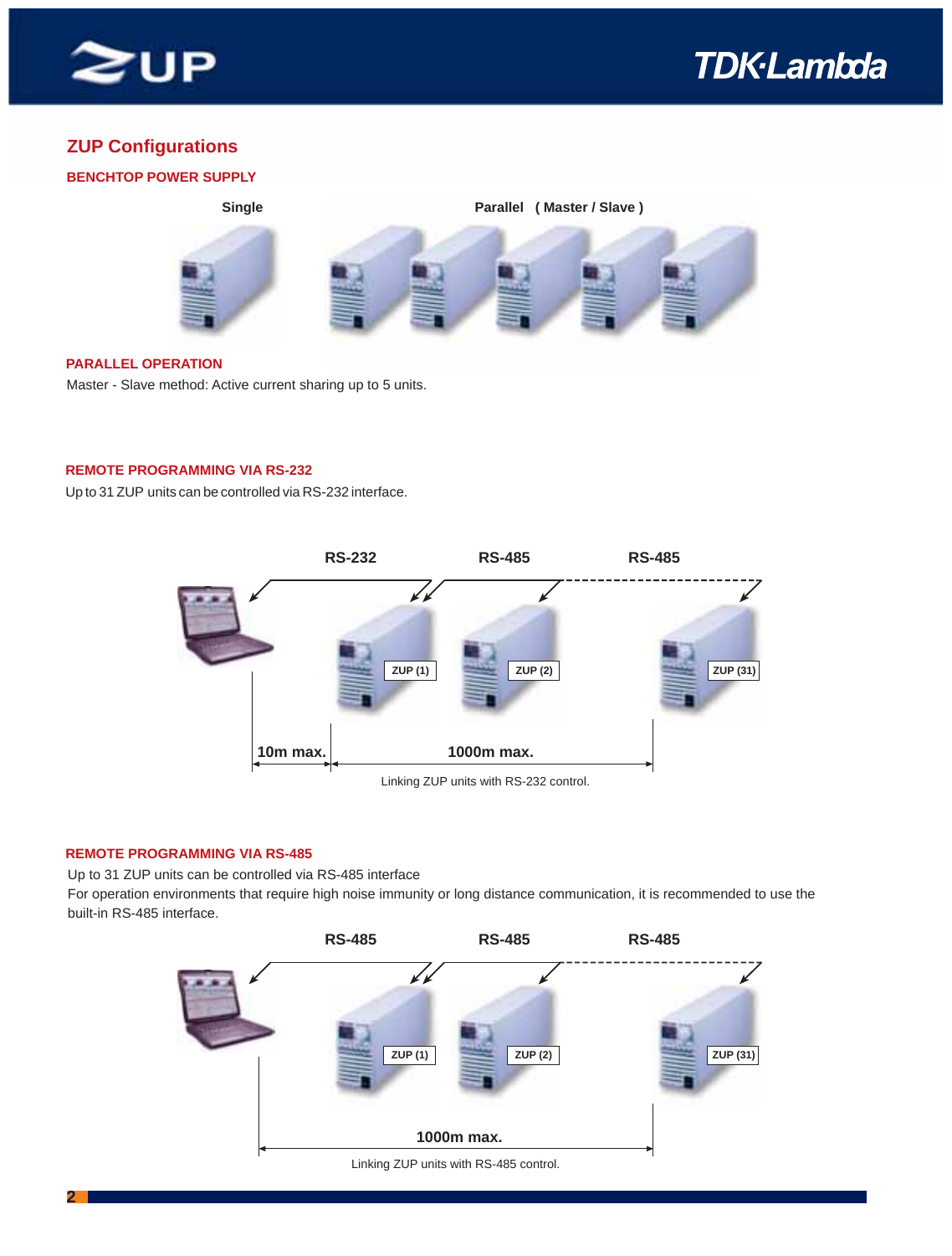



#### **ZUP Configurations**

# **BENCHTOP POWER SUPPLY** Single **Parallel ( Master / Slave )**

#### **PARALLEL OPERATION**

Master - Slave method: Active current sharing up to 5 units.

#### **REMOTE PROGRAMMING VIA RS-232**

Up to 31 ZUP units can be controlled via RS-232 interface. .



#### **REMOTE PROGRAMMING VIA RS-485**

Up to 31 ZUP units can be controlled via RS-485 interface

For operation environments that require high noise immunity or long distance communication, it is recommended to use the built-in RS-485 interface.



Linking ZUP units with RS-485 control.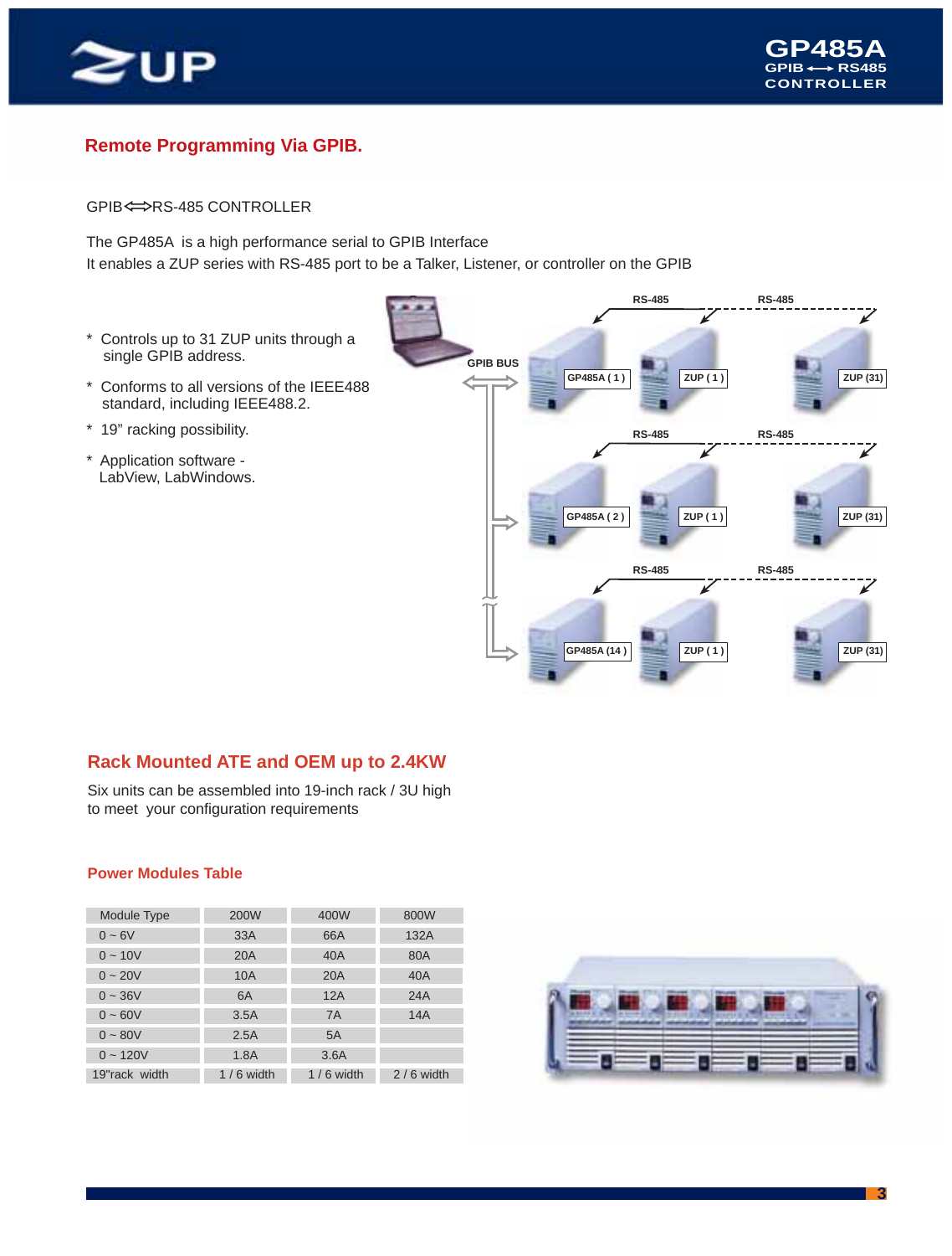

#### **Remote Programming Via GPIB.**

GPIB <= > RS-485 CONTROLLER

The GP485A is a high performance serial to GPIB Interface It enables a ZUP series with RS-485 port to be a Talker, Listener, or controller on the GPIB

- \* Controls up to 31 ZUP units through a single GPIB address.
- \* Conforms to all versions of the IEEE488 standard, including IEEE488.2.
- \* 19" racking possibility.
- \* Application software LabView, LabWindows.



#### **Rack Mounted ATE and OEM up to 2.4KW**

Six units can be assembled into 19-inch rack / 3U high to meet your configuration requirements

#### **Power Modules Table**

| Module Type   | 200W        | 400W        | 800W        |
|---------------|-------------|-------------|-------------|
| $0 - 6V$      | 33A         | 66A         | 132A        |
| $0 - 10V$     | 20A         | 40A         | 80A         |
| $0 - 20V$     | 10A         | 20A         | 40A         |
| $0 - 36V$     | 6A          | 12A         | 24A         |
| $0 - 60V$     | 3.5A        | <b>7A</b>   | 14A         |
| $0 - 80V$     | 2.5A        | 5A          |             |
| $0 - 120V$    | 1.8A        | 3.6A        |             |
| 19"rack width | $1/6$ width | $1/6$ width | $2/6$ width |



**3**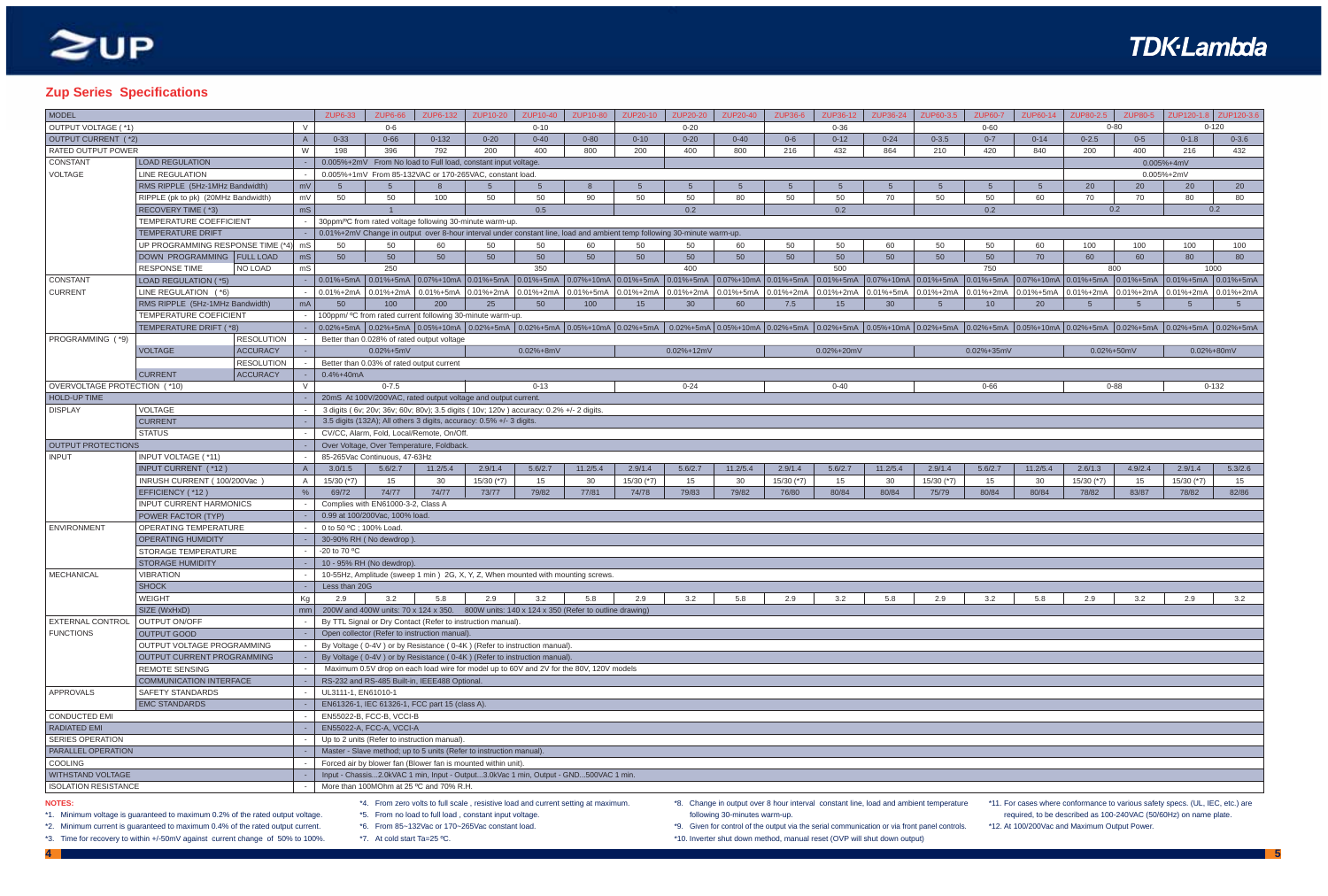- \*8. Change in output over 8 hour interval constant line, load and ambient temperature following 30-minutes warm-up.
- \*9. Given for control of the output via the serial communication or via front panel controls.
- \*10. Inverter shut down method, manual reset (OVP will shut down output)
- **4 5**

## **TDK-Lambda**

| JP60-7         | ZUP60-14       | ZUP80-2.5 ZUP80-5 |               |                | ZUP120-1.8   ZUP120-3.6 |  |  |  |  |  |
|----------------|----------------|-------------------|---------------|----------------|-------------------------|--|--|--|--|--|
| $0 - 60$       |                |                   | $0 - 80$      |                | $0 - 120$               |  |  |  |  |  |
| $0 - 7$        | $0 - 14$       | $0 - 2.5$         | $0-5$         | $0-1.8$        | $0 - 3.6$               |  |  |  |  |  |
| 420            | 840            | 200               | 400           | 216            | 432                     |  |  |  |  |  |
|                |                |                   |               | $0.005% + 4mV$ |                         |  |  |  |  |  |
|                |                |                   |               | 0.005%+2mV     |                         |  |  |  |  |  |
| $\overline{5}$ | 5              | 20                | 20            | 20             | 20                      |  |  |  |  |  |
| 50             | 60             | 70                | 70            | 80             | 80                      |  |  |  |  |  |
| 0.2            |                |                   | 0.2           |                | 0.2                     |  |  |  |  |  |
|                |                |                   |               |                |                         |  |  |  |  |  |
|                |                |                   |               |                |                         |  |  |  |  |  |
| 50             | 60             | 100               | 100           | 100            | 100                     |  |  |  |  |  |
| 50             | 70             | 60                | 60            | 80             | 80                      |  |  |  |  |  |
| 750            |                |                   | 800           |                | 1000                    |  |  |  |  |  |
| % $+5mA$       | 0.07%+10mA     | $0.01% + 5mA$     | $0.01% + 5mA$ | 0.01%+5mA      | 0.01%+5mA               |  |  |  |  |  |
| %+2mA          | $0.01% + 5mA$  | 0.01%+2mA         | $0.01% + 2mA$ | $0.01% + 2mA$  | 0.01%+2mA               |  |  |  |  |  |
| 10             | 20             | $\overline{5}$    | 5             | $\sqrt{5}$     | 5                       |  |  |  |  |  |
|                |                |                   |               |                |                         |  |  |  |  |  |
| %+5mA          | $0.05% + 10mA$ | $0.02% + 5mA$     | $0.02% + 5mA$ | $0.02% + 5mA$  | $0.02% + 5mA$           |  |  |  |  |  |
|                |                |                   |               |                |                         |  |  |  |  |  |
| %+35mV         |                |                   | 0.02%+50mV    |                | $0.02\% + 80mV$         |  |  |  |  |  |
|                |                |                   |               |                |                         |  |  |  |  |  |
|                |                |                   |               |                |                         |  |  |  |  |  |
|                |                |                   |               |                |                         |  |  |  |  |  |
| $0 - 66$       |                |                   | $0 - 88$      |                | $0 - 132$               |  |  |  |  |  |
|                |                |                   |               |                |                         |  |  |  |  |  |
|                |                |                   |               |                |                         |  |  |  |  |  |
|                |                |                   |               |                |                         |  |  |  |  |  |
|                |                |                   |               |                |                         |  |  |  |  |  |
|                |                |                   |               |                |                         |  |  |  |  |  |
|                |                |                   |               |                |                         |  |  |  |  |  |
| .6/2.7         | 11.2/5.4       | 2.6/1.3           | 4.9/2.4       | 2.9/1.4        | 5.3/2.6                 |  |  |  |  |  |
| 15             | 30             | 15/30 (*7)        | 15            | 15/30 (*7)     | 15                      |  |  |  |  |  |
| 30/84          | 80/84          | 78/82             | 83/87         | 78/82          | 82/86                   |  |  |  |  |  |
|                |                |                   |               |                |                         |  |  |  |  |  |
|                |                |                   |               |                |                         |  |  |  |  |  |
|                |                |                   |               |                |                         |  |  |  |  |  |
|                |                |                   |               |                |                         |  |  |  |  |  |
|                |                |                   |               |                |                         |  |  |  |  |  |
|                |                |                   |               |                |                         |  |  |  |  |  |
|                |                |                   |               |                |                         |  |  |  |  |  |
|                |                |                   |               |                |                         |  |  |  |  |  |
| 3.2            | 5.8            | 2.9               | 3.2           | 2.9            | 3.2                     |  |  |  |  |  |
|                |                |                   |               |                |                         |  |  |  |  |  |
|                |                |                   |               |                |                         |  |  |  |  |  |
|                |                |                   |               |                |                         |  |  |  |  |  |
|                |                |                   |               |                |                         |  |  |  |  |  |
|                |                |                   |               |                |                         |  |  |  |  |  |
|                |                |                   |               |                |                         |  |  |  |  |  |
|                |                |                   |               |                |                         |  |  |  |  |  |
|                |                |                   |               |                |                         |  |  |  |  |  |
|                |                |                   |               |                |                         |  |  |  |  |  |
|                |                |                   |               |                |                         |  |  |  |  |  |
|                |                |                   |               |                |                         |  |  |  |  |  |
|                |                |                   |               |                |                         |  |  |  |  |  |
|                |                |                   |               |                |                         |  |  |  |  |  |
|                |                |                   |               |                |                         |  |  |  |  |  |
|                |                |                   |               |                |                         |  |  |  |  |  |
|                |                |                   |               |                |                         |  |  |  |  |  |
|                |                |                   |               |                |                         |  |  |  |  |  |

| MODEL                        |                                     |               | <b>ZUP6-33</b>                                                | <b>ZUP6-66</b>                            | ZUP6-132                                                                              | ZUP10-20     | ZUP10-40      | ZUP10-80                                                                                                                  | ZUP20-10     | <b>ZUP20-20</b> | ZUP20-40 | ZUP36-6        | ZUP36-12   | ZUP36-24 | ZUP60-3.5       | <b>ZUP60-7</b> | ZUP60-14                                                                                                                                                                                                                       | ZUP80-2.5                                                               | <b>ZUP80-5</b> |                | ZUP120-1.8 ZUP120-3.6 |
|------------------------------|-------------------------------------|---------------|---------------------------------------------------------------|-------------------------------------------|---------------------------------------------------------------------------------------|--------------|---------------|---------------------------------------------------------------------------------------------------------------------------|--------------|-----------------|----------|----------------|------------|----------|-----------------|----------------|--------------------------------------------------------------------------------------------------------------------------------------------------------------------------------------------------------------------------------|-------------------------------------------------------------------------|----------------|----------------|-----------------------|
| <b>OUTPUT VOLTAGE (*1)</b>   |                                     | $\mathcal{V}$ |                                                               | 0-6                                       |                                                                                       |              | $0 - 10$      |                                                                                                                           |              | $0 - 20$        |          |                | $0 - 36$   |          |                 | $0 - 60$       |                                                                                                                                                                                                                                |                                                                         | $0 - 80$       |                | $0 - 120$             |
| OUTPUT CURRENT (*2)          |                                     | $\mathsf{A}$  | $0 - 33$                                                      | $0 - 66$                                  | $0 - 132$                                                                             | $0 - 20$     | $0 - 40$      | $0 - 80$                                                                                                                  | $0 - 10$     | $0 - 20$        | $0 - 40$ | $0 - 6$        | $0 - 12$   | $0 - 24$ | $0 - 3.5$       | $0 - 7$        | $0 - 14$                                                                                                                                                                                                                       | $0 - 2.5$                                                               | $0 - 5$        | $0 - 1.8$      | $0 - 3.6$             |
| RATED OUTPUT POWER           |                                     | W             | 198                                                           | 396                                       | 792                                                                                   | 200          | 400           | 800                                                                                                                       | 200          | 400             | 800      | 216            | 432        | 864      | 210             | 420            | 840                                                                                                                                                                                                                            | 200                                                                     | 400            | 216            | 432                   |
| <b>CONSTANT</b>              | <b>LOAD REGULATION</b>              |               | 0.005%+2mV From No load to Full load, constant input voltage. |                                           |                                                                                       |              |               |                                                                                                                           |              |                 |          |                | 0.005%+4mV |          |                 |                |                                                                                                                                                                                                                                |                                                                         |                |                |                       |
| <b>VOLTAGE</b>               | <b>LINE REGULATION</b>              |               |                                                               |                                           | 0.005%+1mV From 85-132VAC or 170-265VAC, constant load.                               |              |               |                                                                                                                           |              |                 |          |                |            |          |                 |                |                                                                                                                                                                                                                                |                                                                         |                | $0.005% + 2mV$ |                       |
|                              | RMS RIPPLE (5Hz-1MHz Bandwidth)     | mV            | -5                                                            | 5 <sup>5</sup>                            | 8                                                                                     | -5           | 5             |                                                                                                                           | -5           |                 |          | $\overline{5}$ |            | -5       | $\overline{5}$  | 5 <sup>5</sup> | 5                                                                                                                                                                                                                              | 20                                                                      | 20             | 20             | 20                    |
|                              | RIPPLE (pk to pk) (20MHz Bandwidth) | mV            | 50                                                            | 50                                        | 100                                                                                   | 50           | 50            | 90                                                                                                                        | 50           | 50              | 80       | 50             | 50         | 70       | 50              | 50             | 60                                                                                                                                                                                                                             | 70                                                                      | 70             | 80             | 80                    |
|                              | RECOVERY TIME (*3)                  | mS            |                                                               |                                           |                                                                                       |              | 0.5           |                                                                                                                           |              | 0.2             |          |                | 0.2        |          |                 | 0.2            |                                                                                                                                                                                                                                |                                                                         | 0.2            |                | 0.2                   |
|                              | TEMPERATURE COEFFICIENT             |               |                                                               |                                           | 30ppm/°C from rated voltage following 30-minute warm-up.                              |              |               |                                                                                                                           |              |                 |          |                |            |          |                 |                |                                                                                                                                                                                                                                |                                                                         |                |                |                       |
|                              | <b>TEMPERATURE DRIFT</b>            |               |                                                               |                                           |                                                                                       |              |               | 0.01%+2mV Change in output over 8-hour interval under constant line, load and ambient temp following 30-minute warm-up.   |              |                 |          |                |            |          |                 |                |                                                                                                                                                                                                                                |                                                                         |                |                |                       |
|                              | UP PROGRAMMING RESPONSE TIME (*4)   | mS            | 50                                                            | 50                                        | 60                                                                                    | 50           | 50            | 60                                                                                                                        | 50           | 50              | 60       | 50             | 50         | 60       | 50              | 50             | 60                                                                                                                                                                                                                             | 100                                                                     | 100            | 100            | 100                   |
|                              | DOWN PROGRAMMING FULL LOAD          | ms            | 50                                                            | 50                                        | 50                                                                                    | 50           | 50            | 50                                                                                                                        | 50           | 50              | 50       | 50             | 50         | 50       | 50              | 50             | 70                                                                                                                                                                                                                             | 60                                                                      | 60             | 80             | 80                    |
|                              | <b>RESPONSE TIME</b><br>NO LOAD     | mS            |                                                               | 250                                       |                                                                                       |              | 350           |                                                                                                                           |              | 400             |          |                | 500        |          |                 | 750            |                                                                                                                                                                                                                                |                                                                         | 800            |                | 1000                  |
| <b>CONSTANT</b>              | LOAD REGULATION (*5)                |               |                                                               |                                           |                                                                                       |              |               |                                                                                                                           |              |                 |          |                |            |          |                 |                | 0.01%+5mA 0.01%+5mA 0.01%+5mA 0.01%+10mA 0.01%+5mA 0.01%+5mA 0.01%+10mA 0.01%+5mA 0.01%+5mA 0.07%+10mA 0.01%+5mA 0.01%+5mA 0.01%+5mA 0.01%+5mA 0.01%+5mA 0.01%+5mA 0.01%+5mA 0.01%+5mA 0.01%+5mA 0.01%+5mA 0.01%+5mA 0.01%+5mA |                                                                         |                |                |                       |
| <b>CURRENT</b>               | LINE REGULATION (*6)                |               |                                                               |                                           |                                                                                       |              |               | $0.01\% + 2mA$ 0.01%+2mA 0.01%+5mA 0.01%+2mA 0.01%+2mA 0.01%+5mA 0.01%+2mA                                                |              |                 |          |                |            |          |                 |                | 0.01%+2mA 0.01%+5mA 0.01%+2mA 0.01%+2mA 0.01%+5mA 0.01%+2mA 0.01%+2mA 0.01%+2mA                                                                                                                                                | $\vert$ 0.01%+2mA $\vert$ 0.01%+2mA $\vert$ 0.01%+2mA $\vert$ 0.01%+2mA |                |                |                       |
|                              | RMS RIPPLE (5Hz-1MHz Bandwidth)     | mA            | 50                                                            | 100                                       | 200                                                                                   | 25           | 50            | 100                                                                                                                       | 15           | 30              | 60       | 7.5            | 15         | 30       | $5\overline{5}$ | 10             | 20                                                                                                                                                                                                                             | 5                                                                       | - 5            | -5             | 5                     |
|                              | TEMPERATURE COEFICIENT              |               |                                                               |                                           | 100ppm/ °C from rated current following 30-minute warm-up.                            |              |               |                                                                                                                           |              |                 |          |                |            |          |                 |                |                                                                                                                                                                                                                                |                                                                         |                |                |                       |
|                              | TEMPERATURE DRIFT (*8)              |               |                                                               |                                           |                                                                                       |              |               |                                                                                                                           |              |                 |          |                |            |          |                 |                | 0.02%+5mA 0.02%+5mA 0.02%+10mA 0.02%+5mA 0.02%+5mA 0.02%+5mA 0.02%+10mA 0.02%+5mA 0.02%+5mA 0.05%+10mA 0.02%+5mA 0.02%+5mA 0.02%+5mA 0.02%+5mA 0.02%+5mA 0.02%+5mA 0.02%+5mA 0.02%+5mA 0.02%+5mA 0.02%+5mA 0.02%+5mA 0.02%+5mA |                                                                         |                |                |                       |
| PROGRAMMING (*9)             | <b>RESOLUTION</b>                   |               |                                                               |                                           | Better than 0.028% of rated output voltage                                            |              |               |                                                                                                                           |              |                 |          |                |            |          |                 |                |                                                                                                                                                                                                                                |                                                                         |                |                |                       |
|                              | <b>VOLTAGE</b><br><b>ACCURACY</b>   |               |                                                               | $0.02% + 5mV$                             |                                                                                       |              | $0.02% + 8mV$ |                                                                                                                           |              | $0.02% + 12mV$  |          |                | 0.02%+20mV |          |                 | 0.02%+35mV     |                                                                                                                                                                                                                                | $0.02\% + 50mV$                                                         |                |                | 0.02%+80mV            |
|                              | <b>RESOLUTION</b>                   |               |                                                               | Better than 0.03% of rated output current |                                                                                       |              |               |                                                                                                                           |              |                 |          |                |            |          |                 |                |                                                                                                                                                                                                                                |                                                                         |                |                |                       |
|                              | <b>CURRENT</b><br><b>ACCURACY</b>   |               | 0.4%+40mA                                                     |                                           |                                                                                       |              |               |                                                                                                                           |              |                 |          |                |            |          |                 |                |                                                                                                                                                                                                                                |                                                                         |                |                |                       |
| OVERVOLTAGE PROTECTION (*10) |                                     | $\vee$        |                                                               | $0 - 7.5$                                 |                                                                                       |              | $0 - 13$      |                                                                                                                           |              | $0 - 24$        |          |                | $0 - 40$   |          |                 | $0 - 66$       |                                                                                                                                                                                                                                |                                                                         | $0 - 88$       |                | $0 - 132$             |
| <b>HOLD-UP TIME</b>          |                                     |               |                                                               |                                           | 20mS At 100V/200VAC, rated output voltage and output current.                         |              |               |                                                                                                                           |              |                 |          |                |            |          |                 |                |                                                                                                                                                                                                                                |                                                                         |                |                |                       |
| <b>DISPLAY</b>               | VOLTAGE                             |               |                                                               |                                           | 3 digits (6v; 20v; 36v; 60v; 80v); 3.5 digits (10v; 120v) accuracy: 0.2% +/- 2 digits |              |               |                                                                                                                           |              |                 |          |                |            |          |                 |                |                                                                                                                                                                                                                                |                                                                         |                |                |                       |
|                              | <b>CURRENT</b>                      |               |                                                               |                                           | 3.5 digits (132A); All others 3 digits, accuracy: 0.5% +/- 3 digits.                  |              |               |                                                                                                                           |              |                 |          |                |            |          |                 |                |                                                                                                                                                                                                                                |                                                                         |                |                |                       |
|                              | <b>STATUS</b>                       |               |                                                               |                                           | CV/CC, Alarm, Fold, Local/Remote, On/Off.                                             |              |               |                                                                                                                           |              |                 |          |                |            |          |                 |                |                                                                                                                                                                                                                                |                                                                         |                |                |                       |
| OUTPUT PROTECTIONS           |                                     |               |                                                               |                                           | Over Voltage, Over Temperature, Foldback                                              |              |               |                                                                                                                           |              |                 |          |                |            |          |                 |                |                                                                                                                                                                                                                                |                                                                         |                |                |                       |
| <b>INPUT</b>                 | INPUT VOLTAGE (*11)                 |               |                                                               | 85-265Vac Continuous, 47-63Hz             |                                                                                       |              |               |                                                                                                                           |              |                 |          |                |            |          |                 |                |                                                                                                                                                                                                                                |                                                                         |                |                |                       |
|                              | INPUT CURRENT (*12)                 |               | 3.0/1.5                                                       | 5.6/2.7                                   | 11.2/5.4                                                                              | 2.9/1.4      | 5.6/2.7       | 11.2/5.4                                                                                                                  | 2.9/1.4      | 5.6/2.7         | 11.2/5.4 | 2.9/1.4        | 5.6/2.7    | 11.2/5.4 | 2.9/1.4         | 5.6/2.7        | 11.2/5.4                                                                                                                                                                                                                       | 2.6/1.3                                                                 | 4.9/2.4        | 2.9/1.4        | 5.3/2.6               |
|                              | INRUSH CURRENT (100/200Vac          |               | 15/30 (*7)                                                    | 15                                        | 30                                                                                    | $15/30$ (*7) | 15            | 30                                                                                                                        | $15/30$ (*7) | 15              | 30       | $15/30$ (*7)   | 15         | 30       | 15/30 (*7)      | 15             | 30                                                                                                                                                                                                                             | 15/30 (*7)                                                              | 15             | 15/30 (*7)     | 15                    |
|                              | EFFICIENCY (*12)                    | $\%$          | 69/72                                                         | 74/77                                     | 74/77                                                                                 | 73/77        | 79/82         | 77/81                                                                                                                     | 74/78        | 79/83           | 79/82    | 76/80          | 80/84      | 80/84    | 75/79           | 80/84          | 80/84                                                                                                                                                                                                                          | 78/82                                                                   | 83/87          | 78/82          | 82/86                 |
|                              | <b>INPUT CURRENT HARMONICS</b>      |               |                                                               | Complies with EN61000-3-2, Class A        |                                                                                       |              |               |                                                                                                                           |              |                 |          |                |            |          |                 |                |                                                                                                                                                                                                                                |                                                                         |                |                |                       |
|                              | POWER FACTOR (TYP)                  |               |                                                               | 0.99 at 100/200Vac, 100% load.            |                                                                                       |              |               |                                                                                                                           |              |                 |          |                |            |          |                 |                |                                                                                                                                                                                                                                |                                                                         |                |                |                       |
| ENVIRONMENT                  | OPERATING TEMPERATURE               |               | 0 to 50 °C; 100% Load                                         |                                           |                                                                                       |              |               |                                                                                                                           |              |                 |          |                |            |          |                 |                |                                                                                                                                                                                                                                |                                                                         |                |                |                       |
|                              | OPERATING HUMIDITY                  |               |                                                               | 30-90% RH (No dewdrop).                   |                                                                                       |              |               |                                                                                                                           |              |                 |          |                |            |          |                 |                |                                                                                                                                                                                                                                |                                                                         |                |                |                       |
|                              | STORAGE TEMPERATURE                 |               | -20 to 70 °C                                                  |                                           |                                                                                       |              |               |                                                                                                                           |              |                 |          |                |            |          |                 |                |                                                                                                                                                                                                                                |                                                                         |                |                |                       |
| MECHANICAL                   | STORAGE HUMIDITY                    |               |                                                               | 10 - 95% RH (No dewdrop).                 |                                                                                       |              |               | 10-55Hz, Amplitude (sweep 1 min) 2G, X, Y, Z, When mounted with mounting screws.                                          |              |                 |          |                |            |          |                 |                |                                                                                                                                                                                                                                |                                                                         |                |                |                       |
|                              | <b>VIBRATION</b><br><b>SHOCK</b>    |               | Less than 20G                                                 |                                           |                                                                                       |              |               |                                                                                                                           |              |                 |          |                |            |          |                 |                |                                                                                                                                                                                                                                |                                                                         |                |                |                       |
|                              | WEIGHT                              |               | 2.9                                                           |                                           | $3.2$ 5.8 2.9 3.2 5.8                                                                 |              |               |                                                                                                                           |              | 3.2             | 5.8      | 2.9            |            | 5.8      |                 |                |                                                                                                                                                                                                                                |                                                                         |                |                |                       |
|                              | SIZE (WxHxD)                        | Kg            |                                                               |                                           |                                                                                       |              |               | mm   200W and 400W units: $70 \times 124 \times 350$ . 800W units: $140 \times 124 \times 350$ (Refer to outline drawing) |              |                 |          |                | 3.2        |          | 2.9             | 3.2            | 5.8                                                                                                                                                                                                                            | 2.9                                                                     | 3.2            | 2.9            | 3.2                   |
| <b>EXTERNAL CONTROL</b>      | OUTPUT ON/OFF                       |               |                                                               |                                           | By TTL Signal or Dry Contact (Refer to instruction manual).                           |              |               |                                                                                                                           |              |                 |          |                |            |          |                 |                |                                                                                                                                                                                                                                |                                                                         |                |                |                       |
| <b>FUNCTIONS</b>             | OUTPUT GOOD                         |               |                                                               |                                           | Open collector (Refer to instruction manual).                                         |              |               |                                                                                                                           |              |                 |          |                |            |          |                 |                |                                                                                                                                                                                                                                |                                                                         |                |                |                       |
|                              | OUTPUT VOLTAGE PROGRAMMING          |               |                                                               |                                           | By Voltage (0-4V) or by Resistance (0-4K) (Refer to instruction manual)               |              |               |                                                                                                                           |              |                 |          |                |            |          |                 |                |                                                                                                                                                                                                                                |                                                                         |                |                |                       |
|                              | OUTPUT CURRENT PROGRAMMING          |               |                                                               |                                           | By Voltage (0-4V) or by Resistance (0-4K) (Refer to instruction manual).              |              |               |                                                                                                                           |              |                 |          |                |            |          |                 |                |                                                                                                                                                                                                                                |                                                                         |                |                |                       |
|                              | <b>REMOTE SENSING</b>               |               |                                                               |                                           |                                                                                       |              |               | Maximum 0.5V drop on each load wire for model up to 60V and 2V for the 80V, 120V models                                   |              |                 |          |                |            |          |                 |                |                                                                                                                                                                                                                                |                                                                         |                |                |                       |
|                              | COMMUNICATION INTERFACE             |               |                                                               |                                           | RS-232 and RS-485 Built-in, IEEE488 Optional.                                         |              |               |                                                                                                                           |              |                 |          |                |            |          |                 |                |                                                                                                                                                                                                                                |                                                                         |                |                |                       |
| APPROVALS                    | SAFETY STANDARDS                    |               | UL3111-1, EN61010-1                                           |                                           |                                                                                       |              |               |                                                                                                                           |              |                 |          |                |            |          |                 |                |                                                                                                                                                                                                                                |                                                                         |                |                |                       |
|                              | <b>EMC STANDARDS</b>                |               |                                                               |                                           | EN61326-1, IEC 61326-1, FCC part 15 (class A).                                        |              |               |                                                                                                                           |              |                 |          |                |            |          |                 |                |                                                                                                                                                                                                                                |                                                                         |                |                |                       |
| CONDUCTED EMI                |                                     |               |                                                               | EN55022-B, FCC-B, VCCI-B                  |                                                                                       |              |               |                                                                                                                           |              |                 |          |                |            |          |                 |                |                                                                                                                                                                                                                                |                                                                         |                |                |                       |
| <b>RADIATED EMI</b>          |                                     |               |                                                               | EN55022-A, FCC-A, VCCI-A                  |                                                                                       |              |               |                                                                                                                           |              |                 |          |                |            |          |                 |                |                                                                                                                                                                                                                                |                                                                         |                |                |                       |
| <b>SERIES OPERATION</b>      |                                     |               |                                                               |                                           | Up to 2 units (Refer to instruction manual).                                          |              |               |                                                                                                                           |              |                 |          |                |            |          |                 |                |                                                                                                                                                                                                                                |                                                                         |                |                |                       |
| <b>PARALLEL OPERATION</b>    |                                     |               |                                                               |                                           | Master - Slave method; up to 5 units (Refer to instruction manual).                   |              |               |                                                                                                                           |              |                 |          |                |            |          |                 |                |                                                                                                                                                                                                                                |                                                                         |                |                |                       |
| COOLING                      |                                     |               |                                                               |                                           | Forced air by blower fan (Blower fan is mounted within unit).                         |              |               |                                                                                                                           |              |                 |          |                |            |          |                 |                |                                                                                                                                                                                                                                |                                                                         |                |                |                       |
| <b>WITHSTAND VOLTAGE</b>     |                                     |               |                                                               |                                           |                                                                                       |              |               | Input - Chassis2.0kVAC 1 min, Input - Output3.0kVac 1 min, Output - GND500VAC 1 min.                                      |              |                 |          |                |            |          |                 |                |                                                                                                                                                                                                                                |                                                                         |                |                |                       |
| <b>ISOLATION RESISTANCE</b>  |                                     |               |                                                               |                                           | More than 100MOhm at 25 °C and 70% R.H.                                               |              |               |                                                                                                                           |              |                 |          |                |            |          |                 |                |                                                                                                                                                                                                                                |                                                                         |                |                |                       |
|                              |                                     |               |                                                               |                                           |                                                                                       |              |               |                                                                                                                           |              |                 |          |                |            |          |                 |                |                                                                                                                                                                                                                                |                                                                         |                |                |                       |

#### **NOTES:**

- \*1. Minimum voltage is guaranteed to maximum 0.2% of the rated output voltage.
- \*4. From zero volts to full scale , resistive load and current setting at maximum. \*5. From no load to full load , constant input voltage.
- \*6. From 85~132Vac or 170~265Vac constant load.
- \*2. Minimum current is guaranteed to maximum 0.4% of the rated output current. \*3. Time for recovery to within +/-50mV against current change of 50% to 100%.
- \*7. At cold start Ta=25 ºC.

\*11. For cases where conformance to various safety specs. (UL, IEC, etc.) are required, to be described as 100-240VAC (50/60Hz) on name plate.

\*12. At 100/200Vac and Maximum Output Power.

# $\mathbf{2UP}$

#### **Zup Series Specifications**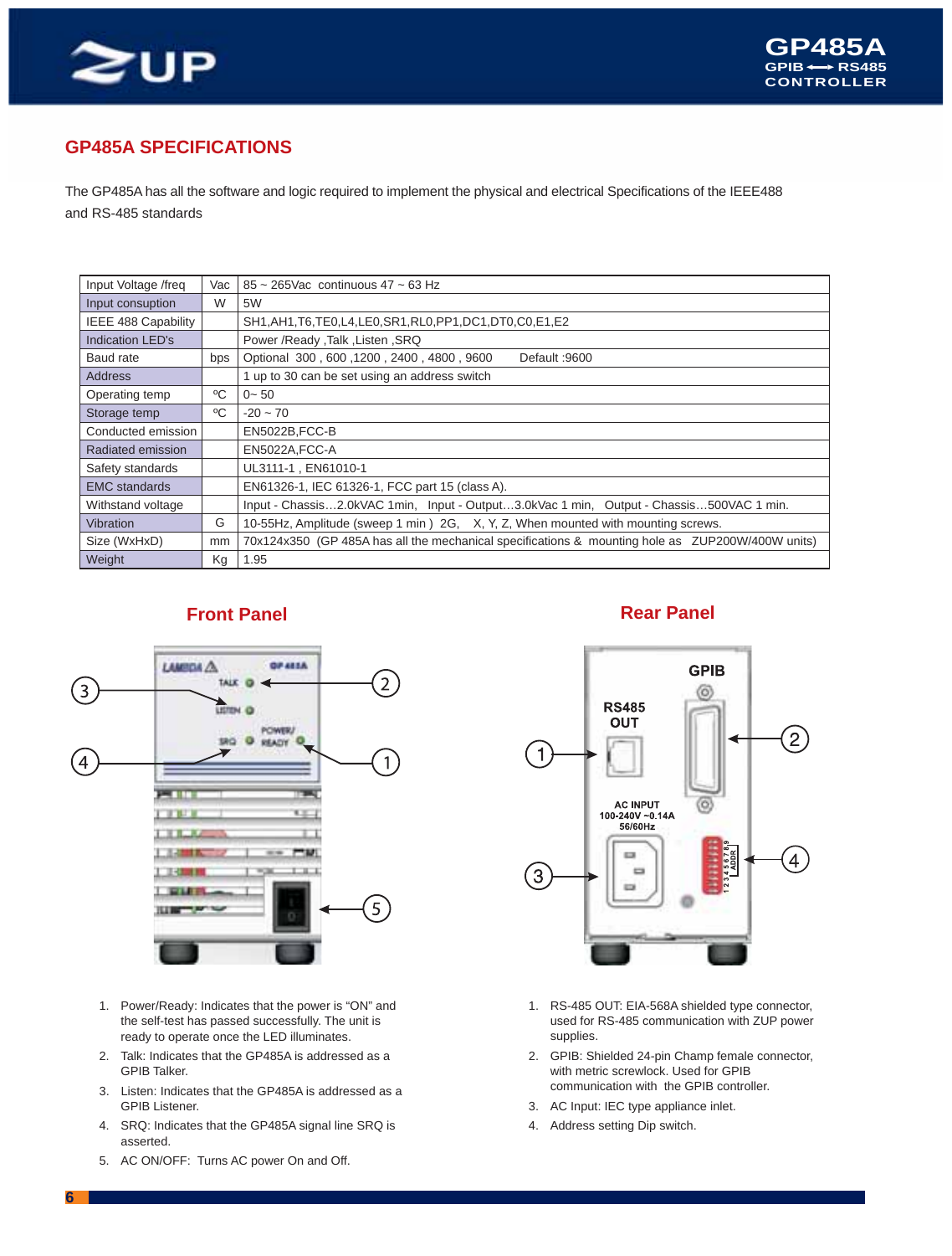

### **GP485A SPECIFICATIONS**

The GP485A has all the software and logic required to implement the physical and electrical Specifications of the IEEE488 and RS-485 standards

| Input Voltage /freq     | Vac | $85 \sim 265$ Vac continuous 47 ~ 63 Hz                                                          |
|-------------------------|-----|--------------------------------------------------------------------------------------------------|
| Input consuption        | W   | 5W                                                                                               |
| IEEE 488 Capability     |     | SH1, AH1, T6, TE0, L4, LE0, SR1, RL0, PP1, DC1, DT0, C0, E1, E2                                  |
| <b>Indication LED's</b> |     | Power /Ready ,Talk ,Listen ,SRQ                                                                  |
| Baud rate               | bps | Optional 300, 600, 1200, 2400, 4800, 9600<br>Default: 9600                                       |
| Address                 |     | 1 up to 30 can be set using an address switch                                                    |
| Operating temp          | °C  | $0 - 50$                                                                                         |
| Storage temp            | °C  | $-20 \sim 70$                                                                                    |
| Conducted emission      |     | EN5022B, FCC-B                                                                                   |
| Radiated emission       |     | EN5022A, FCC-A                                                                                   |
| Safety standards        |     | UL3111-1, EN61010-1                                                                              |
| <b>EMC</b> standards    |     | EN61326-1, IEC 61326-1, FCC part 15 (class A).                                                   |
| Withstand voltage       |     | Input - Chassis2.0kVAC 1min, Input - Output3.0kVac 1 min, Output - Chassis500VAC 1 min.          |
| <b>Vibration</b>        | G   | 10-55Hz, Amplitude (sweep 1 min) 2G, X, Y, Z, When mounted with mounting screws.                 |
| Size (WxHxD)            | mm  | 70x124x350 (GP 485A has all the mechanical specifications & mounting hole as ZUP200W/400W units) |
| Weight                  | Kg  | 1.95                                                                                             |



- 1. Power/Ready: Indicates that the power is "ON" and the self-test has passed successfully. The unit is ready to operate once the LED illuminates.
- 2. Talk: Indicates that the GP485A is addressed as a GPIB Talker.
- 3. Listen: Indicates that the GP485A is addressed as a GPIB Listener.
- 4. SRQ: Indicates that the GP485A signal line SRQ is asserted.
- 5. AC ON/OFF: Turns AC power On and Off.

#### **Front Panel Rear Panel Rear Panel**



- 1. RS-485 OUT: EIA-568A shielded type connector, used for RS-485 communication with ZUP power supplies.
- 2. GPIB: Shielded 24-pin Champ female connector, with metric screwlock. Used for GPIB communication with the GPIB controller.
- 3. AC Input: IEC type appliance inlet.
- 4. Address setting Dip switch.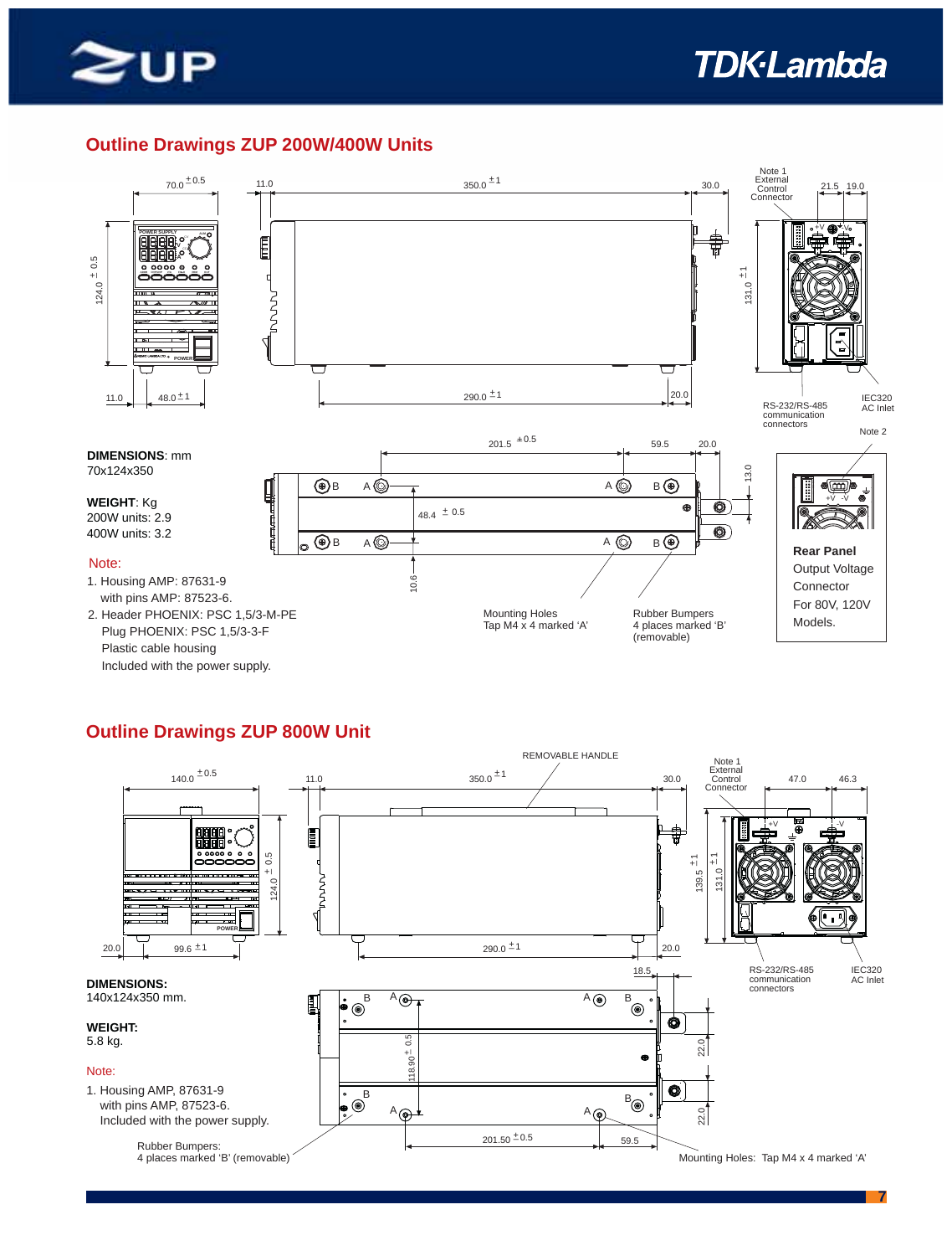

### **Outline Drawings ZUP 200W/400W Units**



#### **Outline Drawings ZUP 800W Unit**

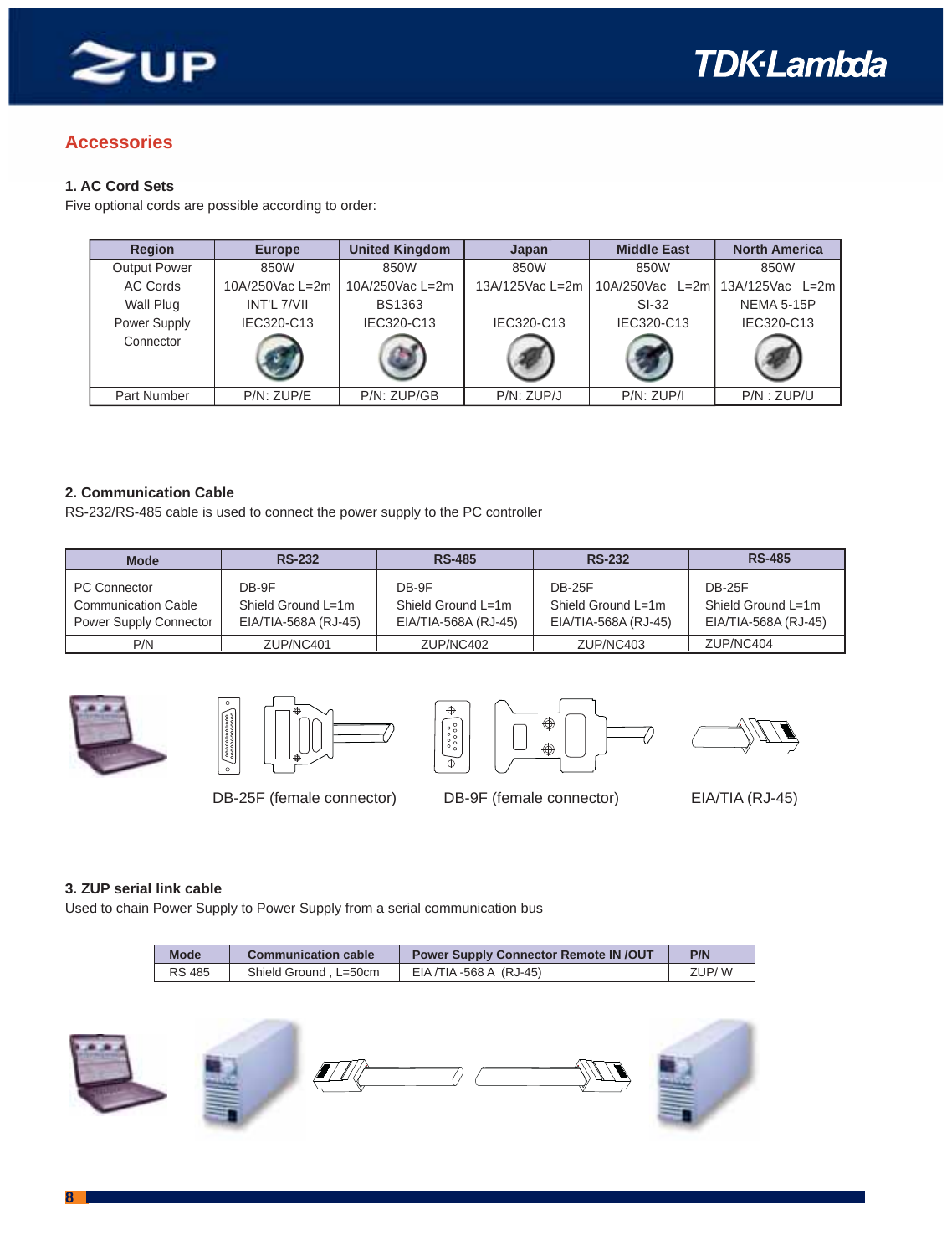

#### **Accessories**

#### **1. AC Cord Sets**

Five optional cords are possible according to order:

| <b>Region</b>       | <b>Europe</b>   | <b>United Kingdom</b> | Japan           | <b>Middle East</b> | <b>North America</b> |
|---------------------|-----------------|-----------------------|-----------------|--------------------|----------------------|
| <b>Output Power</b> | 850W            | 850W                  | 850W            | 850W               | 850W                 |
| AC Cords            | 10A/250Vac L=2m | 10A/250Vac L=2m       | 13A/125Vac L=2m | 10A/250Vac L=2m    | 13A/125Vac L=2m      |
| Wall Plug           | INT'L 7/VII     | <b>BS1363</b>         |                 | $SI-32$            | <b>NEMA 5-15P</b>    |
| Power Supply        | IEC320-C13      | IEC320-C13            | IEC320-C13      | IEC320-C13         | IEC320-C13           |
| Connector           |                 |                       |                 |                    |                      |
| Part Number         | P/N: ZUP/E      | P/N: ZUP/GB           | P/N: ZUP/J      | $P/N$ : $ZUP/I$    | $P/N$ : $ZUP/U$      |

#### **2. Communication Cable**

RS-232/RS-485 cable is used to connect the power supply to the PC controller

| <b>Mode</b>                                                                        | <b>RS-232</b>                                       | <b>RS-485</b>                                       | <b>RS-232</b>                                               | <b>RS-485</b>                                               |
|------------------------------------------------------------------------------------|-----------------------------------------------------|-----------------------------------------------------|-------------------------------------------------------------|-------------------------------------------------------------|
| <b>PC Connector</b><br><b>Communication Cable</b><br><b>Power Supply Connector</b> | DB-9F<br>Shield Ground L=1m<br>EIA/TIA-568A (RJ-45) | DB-9F<br>Shield Ground L=1m<br>EIA/TIA-568A (RJ-45) | <b>DB-25F</b><br>Shield Ground L=1m<br>EIA/TIA-568A (RJ-45) | <b>DB-25F</b><br>Shield Ground L=1m<br>EIA/TIA-568A (RJ-45) |
| P/N                                                                                | ZUP/NC401                                           | ZUP/NC402                                           | ZUP/NC403                                                   | ZUP/NC404                                                   |









DB-25F (female connector) DB-9F (female connector) EIA/TIA (RJ-45)

#### **3. ZUP serial link cable**

Used to chain Power Supply to Power Supply from a serial communication bus

| Mode          | <b>Communication cable</b> | <b>Power Supply Connector Remote IN/OUT</b> | P/N   |
|---------------|----------------------------|---------------------------------------------|-------|
| <b>RS 485</b> | Shield Ground, L=50cm      | EIA /TIA -568 A (RJ-45)                     | ZUP/W |